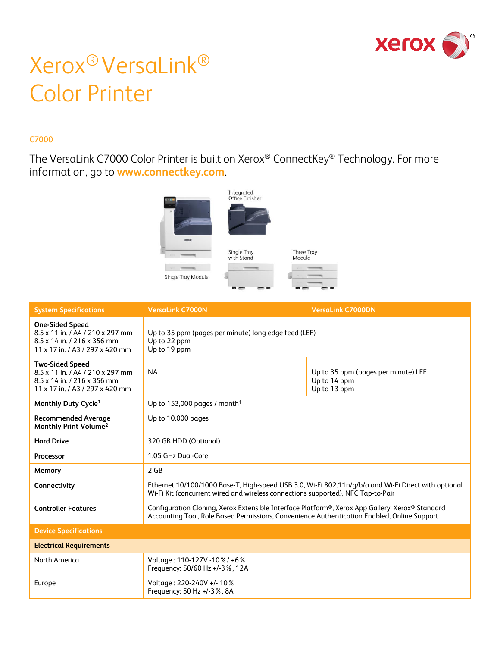

# Xerox® VersaLink® Color Printer

#### C7000

The VersaLink C7000 Color Printer is built on Xerox® ConnectKey® Technology. For more information, go to **[www.connectkey.com](http://www.connectkey.com/)**.



| <b>System Specifications</b>                                                                                                 | <b>VersaLink C7000N</b>                                                                                                                                                                                     | <b>VersaLink C7000DN</b>                                            |
|------------------------------------------------------------------------------------------------------------------------------|-------------------------------------------------------------------------------------------------------------------------------------------------------------------------------------------------------------|---------------------------------------------------------------------|
| <b>One-Sided Speed</b><br>8.5 x 11 in. / A4 / 210 x 297 mm<br>8.5 x 14 in. / 216 x 356 mm<br>11 x 17 in. / A3 / 297 x 420 mm | Up to 35 ppm (pages per minute) long edge feed (LEF)<br>Up to 22 ppm<br>Up to 19 ppm                                                                                                                        |                                                                     |
| <b>Two-Sided Speed</b><br>8.5 x 11 in. / A4 / 210 x 297 mm<br>8.5 x 14 in. / 216 x 356 mm<br>11 x 17 in. / A3 / 297 x 420 mm | <b>NA</b>                                                                                                                                                                                                   | Up to 35 ppm (pages per minute) LEF<br>Up to 14 ppm<br>Up to 13 ppm |
| Monthly Duty Cycle <sup>1</sup>                                                                                              | Up to 153,000 pages / month <sup>1</sup>                                                                                                                                                                    |                                                                     |
| <b>Recommended Average</b><br>Monthly Print Volume <sup>2</sup>                                                              | Up to 10,000 pages                                                                                                                                                                                          |                                                                     |
| <b>Hard Drive</b>                                                                                                            | 320 GB HDD (Optional)                                                                                                                                                                                       |                                                                     |
| Processor                                                                                                                    | 1.05 GHz Dual-Core                                                                                                                                                                                          |                                                                     |
| Memory                                                                                                                       | $2$ GB                                                                                                                                                                                                      |                                                                     |
| Connectivity                                                                                                                 | Ethernet 10/100/1000 Base-T, High-speed USB 3.0, Wi-Fi 802.11n/g/b/a and Wi-Fi Direct with optional<br>Wi-Fi Kit (concurrent wired and wireless connections supported), NFC Tap-to-Pair                     |                                                                     |
| <b>Controller Features</b>                                                                                                   | Configuration Cloning, Xerox Extensible Interface Platform <sup>®</sup> , Xerox App Gallery, Xerox® Standard<br>Accounting Tool, Role Based Permissions, Convenience Authentication Enabled, Online Support |                                                                     |
| <b>Device Specifications</b>                                                                                                 |                                                                                                                                                                                                             |                                                                     |
| <b>Electrical Requirements</b>                                                                                               |                                                                                                                                                                                                             |                                                                     |
| North America                                                                                                                | Voltage: 110-127V - 10 % / +6 %<br>Frequency: 50/60 Hz +/-3%, 12A                                                                                                                                           |                                                                     |
| Europe                                                                                                                       | Voltage: 220-240V +/- 10%<br>Frequency: 50 Hz +/-3%, 8A                                                                                                                                                     |                                                                     |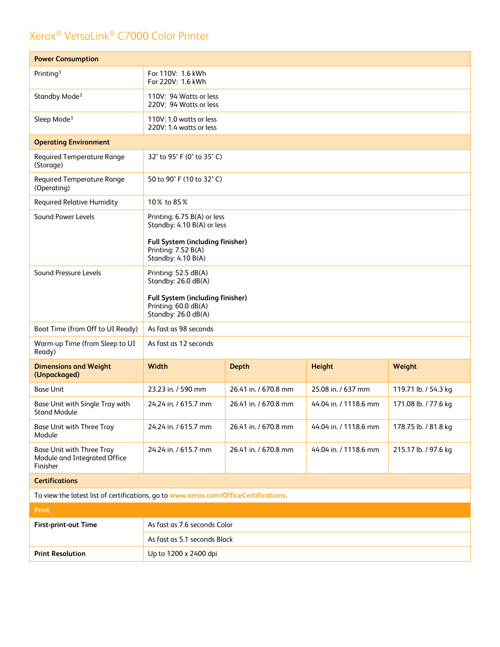| <b>Power Consumption</b>                                                             |                                                                                                                                            |                      |                       |                      |
|--------------------------------------------------------------------------------------|--------------------------------------------------------------------------------------------------------------------------------------------|----------------------|-----------------------|----------------------|
| Printing <sup>3</sup>                                                                | For 110V: 1.6 kWh<br>For 220V: 1.6 kWh                                                                                                     |                      |                       |                      |
| Standby Mode <sup>3</sup>                                                            | 110V: 94 Watts or less<br>220V: 94 Watts or less                                                                                           |                      |                       |                      |
| Sleep Mode <sup>3</sup>                                                              | 110V: 1.0 watts or less<br>220V: 1.4 watts or less                                                                                         |                      |                       |                      |
| <b>Operating Environment</b>                                                         |                                                                                                                                            |                      |                       |                      |
| <b>Required Temperature Range</b><br>(Storage)                                       | 32° to 95° F (0° to 35° C)                                                                                                                 |                      |                       |                      |
| <b>Required Temperature Range</b><br>(Operating)                                     | 50 to 90° F (10 to 32° C)                                                                                                                  |                      |                       |                      |
| <b>Required Relative Humidity</b>                                                    | 10% to 85%                                                                                                                                 |                      |                       |                      |
| Sound Power Levels                                                                   | Printing: 6.75 B(A) or less<br>Standby: 4.10 B(A) or less<br>Full System (including finisher)<br>Printing: 7.52 B(A)<br>Standby: 4.10 B(A) |                      |                       |                      |
| Sound Pressure Levels                                                                | Printing: 52.5 dB(A)<br>Standby: 26.0 dB(A)<br>Full System (including finisher)<br>Printing: 60.0 dB(A)<br>Standby: 26.0 dB(A)             |                      |                       |                      |
| Boot Time (from Off to UI Ready)                                                     | As fast as 98 seconds                                                                                                                      |                      |                       |                      |
| Warm-up Time (from Sleep to UI<br>Ready)                                             | As fast as 12 seconds                                                                                                                      |                      |                       |                      |
| <b>Dimensions and Weight</b><br>(Unpackaged)                                         | Width                                                                                                                                      | <b>Depth</b>         | <b>Height</b>         | Weight               |
| <b>Base Unit</b>                                                                     | 23.23 in. / 590 mm                                                                                                                         | 26.41 in. / 670.8 mm | 25.08 in. / 637 mm    | 119.71 lb. / 54.3 kg |
| Base Unit with Single Tray with<br>Stand Module                                      | 24.24 in. / 615.7 mm                                                                                                                       | 26.41 in. / 670.8 mm | 44.04 in. / 1118.6 mm | 171.08 lb. / 77.6 kg |
| <b>Base Unit with Three Tray</b><br>Module                                           | 24.24 in. / 615.7 mm                                                                                                                       | 26.41 in. / 670.8 mm | 44.04 in. / 1118.6 mm | 178.75 lb. / 81.8 kg |
| <b>Base Unit with Three Tray</b><br>Module and Integrated Office<br>Finisher         | 24.24 in. / 615.7 mm                                                                                                                       | 26.41 in. / 670.8 mm | 44.04 in. / 1118.6 mm | 215.17 lb. / 97.6 kg |
| <b>Certifications</b>                                                                |                                                                                                                                            |                      |                       |                      |
| To view the latest list of certifications, go to www.xerox.com/OfficeCertifications. |                                                                                                                                            |                      |                       |                      |
| <b>Print</b>                                                                         |                                                                                                                                            |                      |                       |                      |
| First-print-out Time                                                                 | As fast as 7.6 seconds Color                                                                                                               |                      |                       |                      |
|                                                                                      | As fast as 5.1 seconds Black                                                                                                               |                      |                       |                      |
| <b>Print Resolution</b>                                                              | Up to 1200 x 2400 dpi                                                                                                                      |                      |                       |                      |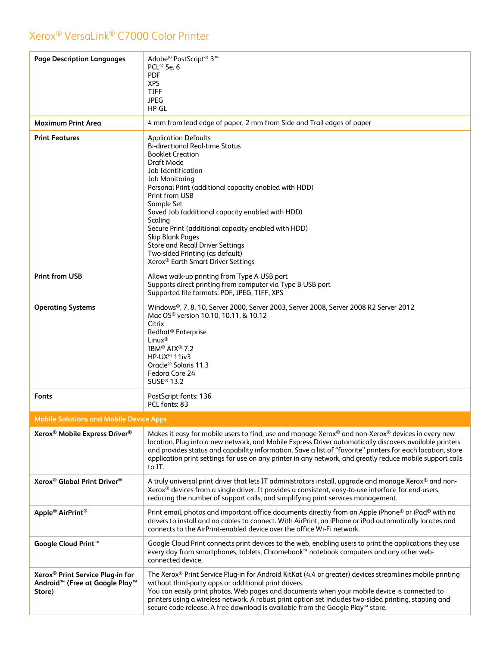| <b>Page Description Languages</b>                                                                                | Adobe® PostScript® 3™<br>PCL <sup>®</sup> 5e, 6<br><b>PDF</b><br><b>XPS</b><br><b>TIFF</b><br><b>JPEG</b><br>HP-GL                                                                                                                                                                                                                                                                                                                                                                                                               |
|------------------------------------------------------------------------------------------------------------------|----------------------------------------------------------------------------------------------------------------------------------------------------------------------------------------------------------------------------------------------------------------------------------------------------------------------------------------------------------------------------------------------------------------------------------------------------------------------------------------------------------------------------------|
| <b>Maximum Print Area</b>                                                                                        | 4 mm from lead edge of paper, 2 mm from Side and Trail edges of paper                                                                                                                                                                                                                                                                                                                                                                                                                                                            |
| <b>Print Features</b>                                                                                            | <b>Application Defaults</b><br><b>Bi-directional Real-time Status</b><br><b>Booklet Creation</b><br>Draft Mode<br>Job Identification<br>Job Monitoring<br>Personal Print (additional capacity enabled with HDD)<br>Print from USB<br>Sample Set<br>Saved Job (additional capacity enabled with HDD)<br>Scaling<br>Secure Print (additional capacity enabled with HDD)<br><b>Skip Blank Pages</b><br><b>Store and Recall Driver Settings</b><br>Two-sided Printing (as default)<br>Xerox <sup>®</sup> Earth Smart Driver Settings |
| <b>Print from USB</b>                                                                                            | Allows walk-up printing from Type A USB port<br>Supports direct printing from computer via Type B USB port<br>Supported file formats: PDF, JPEG, TIFF, XPS                                                                                                                                                                                                                                                                                                                                                                       |
| <b>Operating Systems</b>                                                                                         | Windows®, 7, 8, 10, Server 2000, Server 2003, Server 2008, Server 2008 R2 Server 2012<br>Mac OS <sup>®</sup> version 10.10, 10.11, & 10.12<br>Citrix<br>Redhat <sup>®</sup> Enterprise<br>Linux <sup>®</sup><br>IBM <sup>®</sup> AIX <sup>®</sup> 7.2<br>HP-UX <sup>®</sup> 11iv3<br>Oracle <sup>®</sup> Solaris 11.3<br>Fedora Core 24<br>SUSE <sup>®</sup> 13.2                                                                                                                                                                |
| <b>Fonts</b>                                                                                                     | PostScript fonts: 136<br>PCL fonts: 83                                                                                                                                                                                                                                                                                                                                                                                                                                                                                           |
| <b>Mobile Solutions and Mobile Device Apps</b>                                                                   |                                                                                                                                                                                                                                                                                                                                                                                                                                                                                                                                  |
| Xerox <sup>®</sup> Mobile Express Driver <sup>®</sup>                                                            | Makes it easy for mobile users to find, use and manage Xerox® and non-Xerox® devices in every new<br>location. Plug into a new network, and Mobile Express Driver automatically discovers available printers<br>and provides status and capability information. Save a list of "favorite" printers for each location, store<br>application print settings for use on any printer in any network, and greatly reduce mobile support calls<br>to IT.                                                                               |
| Xerox <sup>®</sup> Global Print Driver <sup>®</sup>                                                              | A truly universal print driver that lets IT administrators install, upgrade and manage Xerox® and non-<br>Xerox <sup>®</sup> devices from a single driver. It provides a consistent, easy-to-use interface for end-users,<br>reducing the number of support calls, and simplifying print services management.                                                                                                                                                                                                                    |
| Apple <sup>®</sup> AirPrint <sup>®</sup>                                                                         | Print email, photos and important office documents directly from an Apple iPhone <sup>®</sup> or iPad <sup>®</sup> with no<br>drivers to install and no cables to connect. With AirPrint, an iPhone or iPad automatically locates and<br>connects to the AirPrint-enabled device over the office Wi-Fi network.                                                                                                                                                                                                                  |
| Google Cloud Print <sup>™</sup>                                                                                  | Google Cloud Print connects print devices to the web, enabling users to print the applications they use<br>every day from smartphones, tablets, Chromebook™ notebook computers and any other web-<br>connected device.                                                                                                                                                                                                                                                                                                           |
| Xerox <sup>®</sup> Print Service Plug-in for<br>Android <sup>™</sup> (Free at Google Play <sup>™</sup><br>Store) | The Xerox® Print Service Plug-in for Android KitKat (4.4 or greater) devices streamlines mobile printing<br>without third-party apps or additional print drivers.<br>You can easily print photos, Web pages and documents when your mobile device is connected to<br>printers using a wireless network. A robust print option set includes two-sided printing, stapling and<br>secure code release. A free download is available from the Google Play™ store.                                                                    |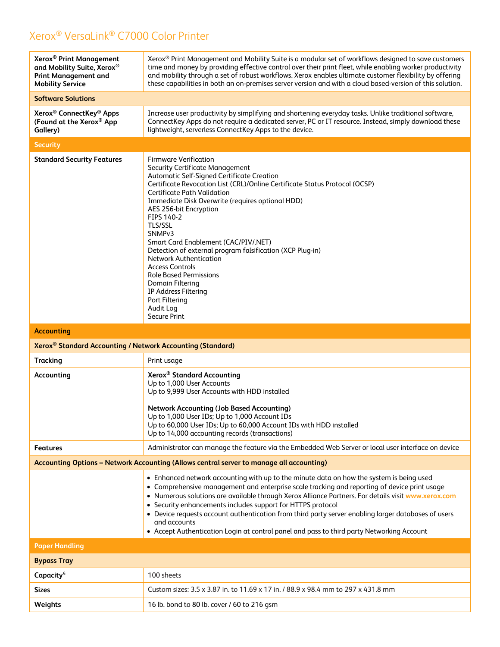| Xerox <sup>®</sup> Print Management<br>and Mobility Suite, Xerox®<br><b>Print Management and</b><br><b>Mobility Service</b> | Xerox <sup>®</sup> Print Management and Mobility Suite is a modular set of workflows designed to save customers<br>time and money by providing effective control over their print fleet, while enabling worker productivity<br>and mobility through a set of robust workflows. Xerox enables ultimate customer flexibility by offering<br>these capabilities in both an on-premises server version and with a cloud based-version of this solution.                                                                                                                                                                                                                              |
|-----------------------------------------------------------------------------------------------------------------------------|----------------------------------------------------------------------------------------------------------------------------------------------------------------------------------------------------------------------------------------------------------------------------------------------------------------------------------------------------------------------------------------------------------------------------------------------------------------------------------------------------------------------------------------------------------------------------------------------------------------------------------------------------------------------------------|
| <b>Software Solutions</b>                                                                                                   |                                                                                                                                                                                                                                                                                                                                                                                                                                                                                                                                                                                                                                                                                  |
| Xerox <sup>®</sup> ConnectKey <sup>®</sup> Apps<br>(Found at the Xerox® App<br>Gallery)                                     | Increase user productivity by simplifying and shortening everyday tasks. Unlike traditional software,<br>ConnectKey Apps do not require a dedicated server, PC or IT resource. Instead, simply download these<br>lightweight, serverless ConnectKey Apps to the device.                                                                                                                                                                                                                                                                                                                                                                                                          |
| <b>Security</b>                                                                                                             |                                                                                                                                                                                                                                                                                                                                                                                                                                                                                                                                                                                                                                                                                  |
| <b>Standard Security Features</b>                                                                                           | <b>Firmware Verification</b><br><b>Security Certificate Management</b><br>Automatic Self-Signed Certificate Creation<br>Certificate Revocation List (CRL)/Online Certificate Status Protocol (OCSP)<br><b>Certificate Path Validation</b><br>Immediate Disk Overwrite (requires optional HDD)<br>AES 256-bit Encryption<br>FIPS 140-2<br><b>TLS/SSL</b><br>SNMP <sub>v3</sub><br>Smart Card Enablement (CAC/PIV/.NET)<br>Detection of external program falsification (XCP Plug-in)<br><b>Network Authentication</b><br><b>Access Controls</b><br><b>Role Based Permissions</b><br>Domain Filtering<br>IP Address Filtering<br>Port Filtering<br>Audit Log<br><b>Secure Print</b> |
|                                                                                                                             |                                                                                                                                                                                                                                                                                                                                                                                                                                                                                                                                                                                                                                                                                  |
| <b>Accounting</b>                                                                                                           |                                                                                                                                                                                                                                                                                                                                                                                                                                                                                                                                                                                                                                                                                  |
| Xerox <sup>®</sup> Standard Accounting / Network Accounting (Standard)                                                      |                                                                                                                                                                                                                                                                                                                                                                                                                                                                                                                                                                                                                                                                                  |
| <b>Tracking</b>                                                                                                             | Print usage                                                                                                                                                                                                                                                                                                                                                                                                                                                                                                                                                                                                                                                                      |
| Accounting                                                                                                                  | Xerox <sup>®</sup> Standard Accounting<br>Up to 1,000 User Accounts<br>Up to 9,999 User Accounts with HDD installed<br><b>Network Accounting (Job Based Accounting)</b><br>Up to 1,000 User IDs; Up to 1,000 Account IDs<br>Up to 60,000 User IDs; Up to 60,000 Account IDs with HDD installed<br>Up to 14,000 accounting records (transactions)                                                                                                                                                                                                                                                                                                                                 |
| <b>Features</b>                                                                                                             | Administrator can manage the feature via the Embedded Web Server or local user interface on device                                                                                                                                                                                                                                                                                                                                                                                                                                                                                                                                                                               |
|                                                                                                                             | Accounting Options - Network Accounting (Allows central server to manage all accounting)                                                                                                                                                                                                                                                                                                                                                                                                                                                                                                                                                                                         |
|                                                                                                                             | • Enhanced network accounting with up to the minute data on how the system is being used<br>• Comprehensive management and enterprise scale tracking and reporting of device print usage<br>. Numerous solutions are available through Xerox Alliance Partners. For details visit www.xerox.com<br>• Security enhancements includes support for HTTPS protocol<br>• Device requests account authentication from third party server enabling larger databases of users<br>and accounts<br>• Accept Authentication Login at control panel and pass to third party Networking Account                                                                                               |
| <b>Paper Handling</b>                                                                                                       |                                                                                                                                                                                                                                                                                                                                                                                                                                                                                                                                                                                                                                                                                  |
| <b>Bypass Tray</b>                                                                                                          |                                                                                                                                                                                                                                                                                                                                                                                                                                                                                                                                                                                                                                                                                  |
| Capacity <sup>4</sup>                                                                                                       | 100 sheets                                                                                                                                                                                                                                                                                                                                                                                                                                                                                                                                                                                                                                                                       |
| <b>Sizes</b>                                                                                                                | Custom sizes: 3.5 x 3.87 in. to 11.69 x 17 in. / 88.9 x 98.4 mm to 297 x 431.8 mm                                                                                                                                                                                                                                                                                                                                                                                                                                                                                                                                                                                                |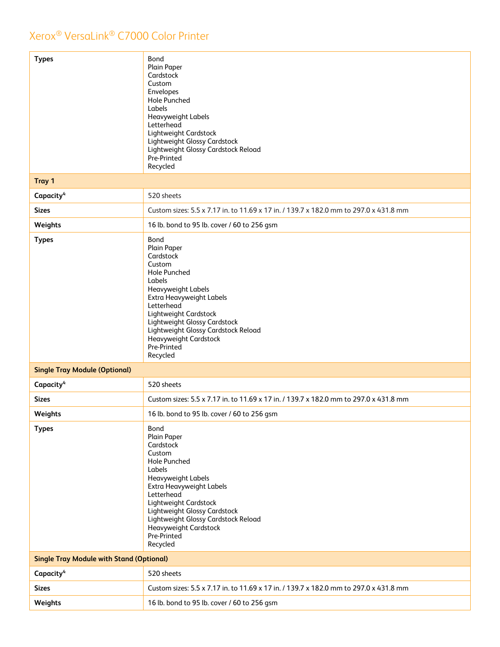| Tray 1<br>520 sheets<br>Capacity <sup>4</sup><br>Custom sizes: 5.5 x 7.17 in. to 11.69 x 17 in. / 139.7 x 182.0 mm to 297.0 x 431.8 mm<br><b>Sizes</b><br>16 lb. bond to 95 lb. cover / 60 to 256 gsm<br>Weights<br>Bond<br><b>Types</b><br>Plain Paper<br>Cardstock<br>Custom<br><b>Hole Punched</b><br>Labels<br>Heavyweight Labels<br>Extra Heavyweight Labels<br>Letterhead<br>Lightweight Cardstock<br>Lightweight Glossy Cardstock<br>Lightweight Glossy Cardstock Reload<br>Heavyweight Cardstock<br>Pre-Printed<br>Recycled<br><b>Single Tray Module (Optional)</b><br>520 sheets<br>Capacity <sup>4</sup><br>Custom sizes: 5.5 x 7.17 in. to 11.69 x 17 in. / 139.7 x 182.0 mm to 297.0 x 431.8 mm<br><b>Sizes</b><br>16 lb. bond to 95 lb. cover / 60 to 256 gsm<br>Weights<br>Bond<br><b>Types</b><br>Plain Paper<br>Cardstock<br>Custom<br>Hole Punched<br>Labels<br>Heavyweight Labels<br>Extra Heavyweight Labels<br>Letterhead<br>Lightweight Cardstock<br>Lightweight Glossy Cardstock<br>Lightweight Glossy Cardstock Reload |
|-----------------------------------------------------------------------------------------------------------------------------------------------------------------------------------------------------------------------------------------------------------------------------------------------------------------------------------------------------------------------------------------------------------------------------------------------------------------------------------------------------------------------------------------------------------------------------------------------------------------------------------------------------------------------------------------------------------------------------------------------------------------------------------------------------------------------------------------------------------------------------------------------------------------------------------------------------------------------------------------------------------------------------------------------|
|                                                                                                                                                                                                                                                                                                                                                                                                                                                                                                                                                                                                                                                                                                                                                                                                                                                                                                                                                                                                                                               |
|                                                                                                                                                                                                                                                                                                                                                                                                                                                                                                                                                                                                                                                                                                                                                                                                                                                                                                                                                                                                                                               |
|                                                                                                                                                                                                                                                                                                                                                                                                                                                                                                                                                                                                                                                                                                                                                                                                                                                                                                                                                                                                                                               |
|                                                                                                                                                                                                                                                                                                                                                                                                                                                                                                                                                                                                                                                                                                                                                                                                                                                                                                                                                                                                                                               |
|                                                                                                                                                                                                                                                                                                                                                                                                                                                                                                                                                                                                                                                                                                                                                                                                                                                                                                                                                                                                                                               |
|                                                                                                                                                                                                                                                                                                                                                                                                                                                                                                                                                                                                                                                                                                                                                                                                                                                                                                                                                                                                                                               |
|                                                                                                                                                                                                                                                                                                                                                                                                                                                                                                                                                                                                                                                                                                                                                                                                                                                                                                                                                                                                                                               |
|                                                                                                                                                                                                                                                                                                                                                                                                                                                                                                                                                                                                                                                                                                                                                                                                                                                                                                                                                                                                                                               |
|                                                                                                                                                                                                                                                                                                                                                                                                                                                                                                                                                                                                                                                                                                                                                                                                                                                                                                                                                                                                                                               |
| Heavyweight Cardstock<br>Pre-Printed<br>Recycled                                                                                                                                                                                                                                                                                                                                                                                                                                                                                                                                                                                                                                                                                                                                                                                                                                                                                                                                                                                              |
| <b>Single Tray Module with Stand (Optional)</b>                                                                                                                                                                                                                                                                                                                                                                                                                                                                                                                                                                                                                                                                                                                                                                                                                                                                                                                                                                                               |
| Capacity <sup>4</sup><br>520 sheets                                                                                                                                                                                                                                                                                                                                                                                                                                                                                                                                                                                                                                                                                                                                                                                                                                                                                                                                                                                                           |
| Custom sizes: 5.5 x 7.17 in. to 11.69 x 17 in. / 139.7 x 182.0 mm to 297.0 x 431.8 mm<br><b>Sizes</b>                                                                                                                                                                                                                                                                                                                                                                                                                                                                                                                                                                                                                                                                                                                                                                                                                                                                                                                                         |
| Weights<br>16 lb. bond to 95 lb. cover / 60 to 256 gsm                                                                                                                                                                                                                                                                                                                                                                                                                                                                                                                                                                                                                                                                                                                                                                                                                                                                                                                                                                                        |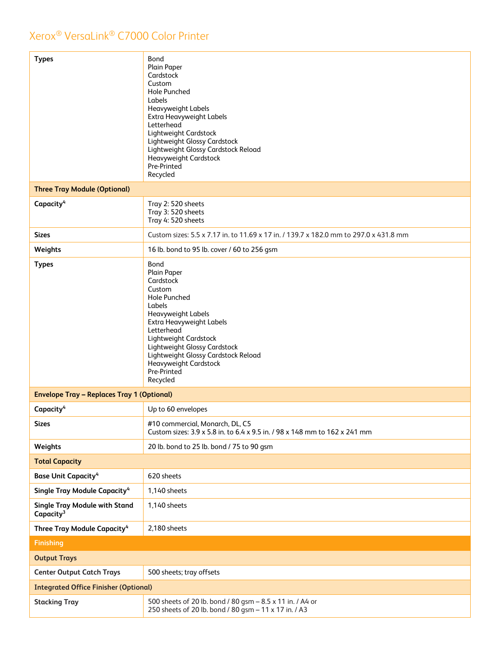| <b>Types</b>                                                  | Bond<br>Plain Paper<br>Cardstock<br>Custom<br><b>Hole Punched</b><br>Labels<br>Heavyweight Labels<br>Extra Heavyweight Labels<br>Letterhead<br>Lightweight Cardstock<br>Lightweight Glossy Cardstock<br>Lightweight Glossy Cardstock Reload<br>Heavyweight Cardstock<br>Pre-Printed<br>Recycled        |
|---------------------------------------------------------------|--------------------------------------------------------------------------------------------------------------------------------------------------------------------------------------------------------------------------------------------------------------------------------------------------------|
| <b>Three Tray Module (Optional)</b>                           |                                                                                                                                                                                                                                                                                                        |
| Capacity <sup>4</sup>                                         | Tray 2: 520 sheets<br>Tray 3: 520 sheets<br>Tray 4: 520 sheets                                                                                                                                                                                                                                         |
| <b>Sizes</b>                                                  | Custom sizes: 5.5 x 7.17 in. to 11.69 x 17 in. / 139.7 x 182.0 mm to 297.0 x 431.8 mm                                                                                                                                                                                                                  |
| Weights                                                       | 16 lb. bond to 95 lb. cover / 60 to 256 gsm                                                                                                                                                                                                                                                            |
| <b>Types</b>                                                  | Bond<br>Plain Paper<br>Cardstock<br>Custom<br><b>Hole Punched</b><br>Labels<br>Heavyweight Labels<br>Extra Heavyweight Labels<br>Letterhead<br>Lightweight Cardstock<br>Lightweight Glossy Cardstock<br>Lightweight Glossy Cardstock Reload<br><b>Heavyweight Cardstock</b><br>Pre-Printed<br>Recycled |
| <b>Envelope Tray - Replaces Tray 1 (Optional)</b>             |                                                                                                                                                                                                                                                                                                        |
| Capacity <sup>4</sup>                                         | Up to 60 envelopes                                                                                                                                                                                                                                                                                     |
| <b>Sizes</b>                                                  | #10 commercial, Monarch, DL, C5<br>Custom sizes: 3.9 x 5.8 in. to 6.4 x 9.5 in. / 98 x 148 mm to 162 x 241 mm                                                                                                                                                                                          |
| Weights                                                       | 20 lb. bond to 25 lb. bond / 75 to 90 gsm                                                                                                                                                                                                                                                              |
| <b>Total Capacity</b>                                         |                                                                                                                                                                                                                                                                                                        |
| <b>Base Unit Capacity<sup>4</sup></b>                         | 620 sheets                                                                                                                                                                                                                                                                                             |
| Single Tray Module Capacity <sup>4</sup>                      | 1,140 sheets                                                                                                                                                                                                                                                                                           |
| <b>Single Tray Module with Stand</b><br>Capacity <sup>3</sup> | 1,140 sheets                                                                                                                                                                                                                                                                                           |
| Three Tray Module Capacity <sup>4</sup>                       | 2,180 sheets                                                                                                                                                                                                                                                                                           |
| <b>Finishing</b>                                              |                                                                                                                                                                                                                                                                                                        |
| <b>Output Trays</b>                                           |                                                                                                                                                                                                                                                                                                        |
| <b>Center Output Catch Trays</b>                              | 500 sheets; tray offsets                                                                                                                                                                                                                                                                               |
| <b>Integrated Office Finisher (Optional)</b>                  |                                                                                                                                                                                                                                                                                                        |
| <b>Stacking Tray</b>                                          | 500 sheets of 20 lb. bond / 80 gsm - 8.5 x 11 in. / A4 or<br>250 sheets of 20 lb. bond / 80 gsm - 11 x 17 in. / A3                                                                                                                                                                                     |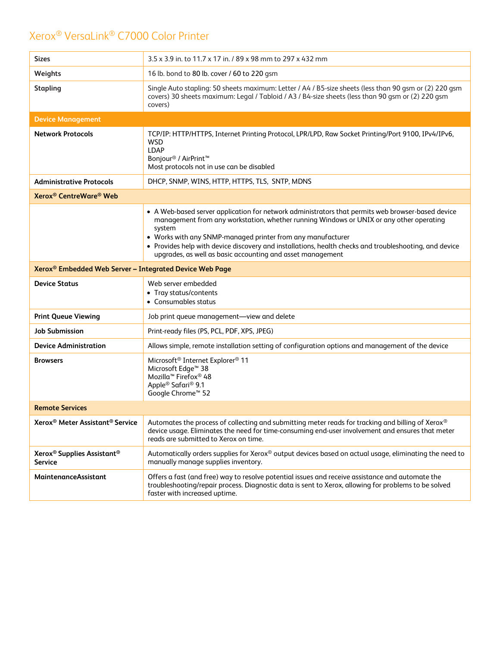| <b>Sizes</b>                                                         | 3.5 x 3.9 in. to 11.7 x 17 in. / 89 x 98 mm to 297 x 432 mm                                                                                                                                                                                                                                                                                                                                                                                   |
|----------------------------------------------------------------------|-----------------------------------------------------------------------------------------------------------------------------------------------------------------------------------------------------------------------------------------------------------------------------------------------------------------------------------------------------------------------------------------------------------------------------------------------|
| Weights                                                              | 16 lb. bond to 80 lb. cover / 60 to 220 gsm                                                                                                                                                                                                                                                                                                                                                                                                   |
| <b>Stapling</b>                                                      | Single Auto stapling: 50 sheets maximum: Letter / A4 / B5-size sheets (less than 90 gsm or (2) 220 gsm<br>covers) 30 sheets maximum: Legal / Tabloid / A3 / B4-size sheets (less than 90 gsm or (2) 220 gsm<br>covers)                                                                                                                                                                                                                        |
| <b>Device Management</b>                                             |                                                                                                                                                                                                                                                                                                                                                                                                                                               |
| <b>Network Protocols</b>                                             | TCP/IP: HTTP/HTTPS, Internet Printing Protocol, LPR/LPD, Raw Socket Printing/Port 9100, IPv4/IPv6,<br><b>WSD</b><br>LDAP<br>Bonjour <sup>®</sup> / AirPrint <sup>™</sup><br>Most protocols not in use can be disabled                                                                                                                                                                                                                         |
| <b>Administrative Protocols</b>                                      | DHCP, SNMP, WINS, HTTP, HTTPS, TLS, SNTP, MDNS                                                                                                                                                                                                                                                                                                                                                                                                |
| Xerox <sup>®</sup> CentreWare <sup>®</sup> Web                       |                                                                                                                                                                                                                                                                                                                                                                                                                                               |
|                                                                      | • A Web-based server application for network administrators that permits web browser-based device<br>management from any workstation, whether running Windows or UNIX or any other operating<br>system<br>• Works with any SNMP-managed printer from any manufacturer<br>• Provides help with device discovery and installations, health checks and troubleshooting, and device<br>upgrades, as well as basic accounting and asset management |
| Xerox <sup>®</sup> Embedded Web Server - Integrated Device Web Page  |                                                                                                                                                                                                                                                                                                                                                                                                                                               |
| <b>Device Status</b>                                                 | Web server embedded<br>• Tray status/contents<br>• Consumables status                                                                                                                                                                                                                                                                                                                                                                         |
| <b>Print Queue Viewing</b>                                           | Job print queue management—view and delete                                                                                                                                                                                                                                                                                                                                                                                                    |
| <b>Job Submission</b>                                                | Print-ready files (PS, PCL, PDF, XPS, JPEG)                                                                                                                                                                                                                                                                                                                                                                                                   |
| <b>Device Administration</b>                                         | Allows simple, remote installation setting of configuration options and management of the device                                                                                                                                                                                                                                                                                                                                              |
| <b>Browsers</b>                                                      | Microsoft <sup>®</sup> Internet Explorer <sup>®</sup> 11<br>Microsoft Edge <sup>™</sup> 38<br>Mozilla <sup>™</sup> Firefox <sup>®</sup> 48<br>Apple <sup>®</sup> Safari <sup>®</sup> 9.1<br>Google Chrome <sup>™</sup> 52                                                                                                                                                                                                                     |
| <b>Remote Services</b>                                               |                                                                                                                                                                                                                                                                                                                                                                                                                                               |
| Xerox <sup>®</sup> Meter Assistant <sup>®</sup> Service              | Automates the process of collecting and submitting meter reads for tracking and billing of Xerox®<br>device usage. Eliminates the need for time-consuming end-user involvement and ensures that meter<br>reads are submitted to Xerox on time.                                                                                                                                                                                                |
| Xerox <sup>®</sup> Supplies Assistant <sup>®</sup><br><b>Service</b> | Automatically orders supplies for Xerox® output devices based on actual usage, eliminating the need to<br>manually manage supplies inventory.                                                                                                                                                                                                                                                                                                 |
| MaintenanceAssistant                                                 | Offers a fast (and free) way to resolve potential issues and receive assistance and automate the<br>troubleshooting/repair process. Diagnostic data is sent to Xerox, allowing for problems to be solved<br>faster with increased uptime.                                                                                                                                                                                                     |